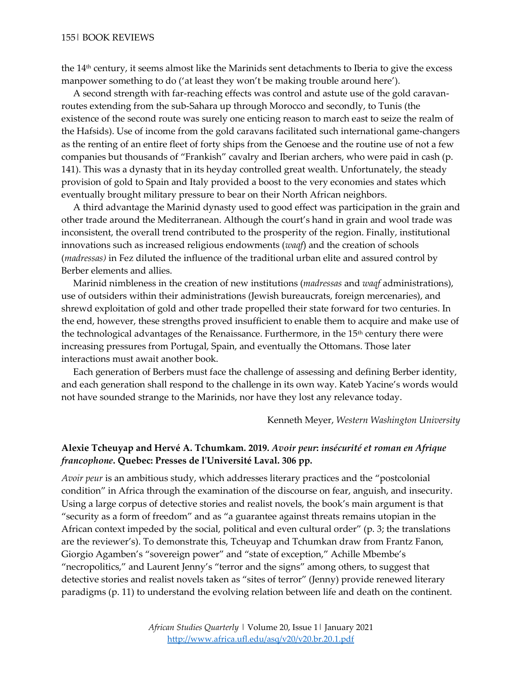the 14th century, it seems almost like the Marinids sent detachments to Iberia to give the excess manpower something to do ('at least they won't be making trouble around here').

 A second strength with far-reaching effects was control and astute use of the gold caravanroutes extending from the sub-Sahara up through Morocco and secondly, to Tunis (the existence of the second route was surely one enticing reason to march east to seize the realm of the Hafsids). Use of income from the gold caravans facilitated such international game-changers as the renting of an entire fleet of forty ships from the Genoese and the routine use of not a few companies but thousands of "Frankish" cavalry and Iberian archers, who were paid in cash (p. 141). This was a dynasty that in its heyday controlled great wealth. Unfortunately, the steady provision of gold to Spain and Italy provided a boost to the very economies and states which eventually brought military pressure to bear on their North African neighbors.

 A third advantage the Marinid dynasty used to good effect was participation in the grain and other trade around the Mediterranean. Although the court's hand in grain and wool trade was inconsistent, the overall trend contributed to the prosperity of the region. Finally, institutional innovations such as increased religious endowments (*waqf*) and the creation of schools (*madressas)* in Fez diluted the influence of the traditional urban elite and assured control by Berber elements and allies.

 Marinid nimbleness in the creation of new institutions (*madressas* and *waqf* administrations), use of outsiders within their administrations (Jewish bureaucrats, foreign mercenaries), and shrewd exploitation of gold and other trade propelled their state forward for two centuries. In the end, however, these strengths proved insufficient to enable them to acquire and make use of the technological advantages of the Renaissance. Furthermore, in the  $15<sup>th</sup>$  century there were increasing pressures from Portugal, Spain, and eventually the Ottomans. Those later interactions must await another book.

 Each generation of Berbers must face the challenge of assessing and defining Berber identity, and each generation shall respond to the challenge in its own way. Kateb Yacine's words would not have sounded strange to the Marinids, nor have they lost any relevance today.

Kenneth Meyer, *Western Washington University*

## **Alexie Tcheuyap and Hervé A. Tchumkam. 2019.** *Avoir peur***:** *insécurité et roman en Afrique francophone***. Quebec: Presses de l'Université Laval. 306 pp.**

*Avoir peur* is an ambitious study, which addresses literary practices and the "postcolonial condition" in Africa through the examination of the discourse on fear, anguish, and insecurity. Using a large corpus of detective stories and realist novels, the book's main argument is that "security as a form of freedom" and as "a guarantee against threats remains utopian in the African context impeded by the social, political and even cultural order" (p. 3; the translations are the reviewer's). To demonstrate this, Tcheuyap and Tchumkan draw from Frantz Fanon, Giorgio Agamben's "sovereign power" and "state of exception," Achille Mbembe's "necropolitics," and Laurent Jenny's "terror and the signs" among others, to suggest that detective stories and realist novels taken as "sites of terror" (Jenny) provide renewed literary paradigms (p. 11) to understand the evolving relation between life and death on the continent.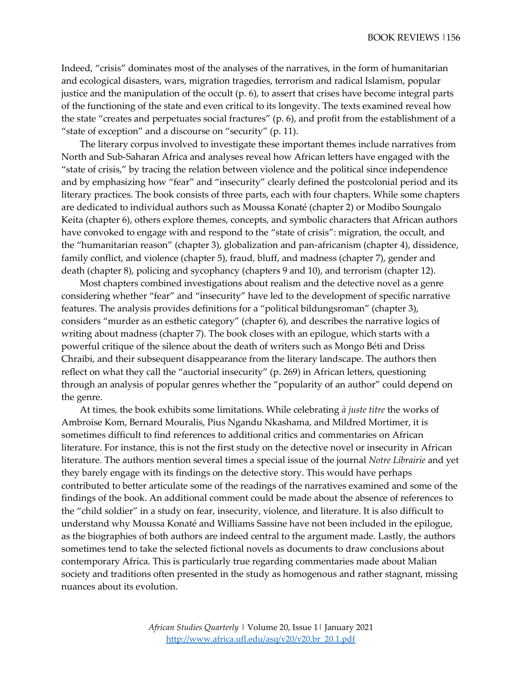Indeed, "crisis" dominates most of the analyses of the narratives, in the form of humanitarian and ecological disasters, wars, migration tragedies, terrorism and radical Islamism, popular justice and the manipulation of the occult (p. 6), to assert that crises have become integral parts of the functioning of the state and even critical to its longevity. The texts examined reveal how the state "creates and perpetuates social fractures" (p. 6), and profit from the establishment of a "state of exception" and a discourse on "security" (p. 11).

The literary corpus involved to investigate these important themes include narratives from North and Sub-Saharan Africa and analyses reveal how African letters have engaged with the "state of crisis," by tracing the relation between violence and the political since independence and by emphasizing how "fear" and "insecurity" clearly defined the postcolonial period and its literary practices. The book consists of three parts, each with four chapters. While some chapters are dedicated to individual authors such as Moussa Konaté (chapter 2) or Modibo Soungalo Keita (chapter 6), others explore themes, concepts, and symbolic characters that African authors have convoked to engage with and respond to the "state of crisis": migration, the occult, and the "humanitarian reason" (chapter 3), globalization and pan-africanism (chapter 4), dissidence, family conflict, and violence (chapter 5), fraud, bluff, and madness (chapter 7), gender and death (chapter 8), policing and sycophancy (chapters 9 and 10), and terrorism (chapter 12).

Most chapters combined investigations about realism and the detective novel as a genre considering whether "fear" and "insecurity" have led to the development of specific narrative features. The analysis provides definitions for a "political bildungsroman" (chapter 3), considers "murder as an esthetic category" (chapter 6), and describes the narrative logics of writing about madness (chapter 7). The book closes with an epilogue, which starts with a powerful critique of the silence about the death of writers such as Mongo Béti and Driss Chraibi, and their subsequent disappearance from the literary landscape. The authors then reflect on what they call the "auctorial insecurity" (p. 269) in African letters, questioning through an analysis of popular genres whether the "popularity of an author" could depend on the genre.

At times, the book exhibits some limitations. While celebrating *à juste titre* the works of Ambroise Kom, Bernard Mouralis, Pius Ngandu Nkashama, and Mildred Mortimer, it is sometimes difficult to find references to additional critics and commentaries on African literature. For instance, this is not the first study on the detective novel or insecurity in African literature. The authors mention several times a special issue of the journal *Notre Librairie* and yet they barely engage with its findings on the detective story. This would have perhaps contributed to better articulate some of the readings of the narratives examined and some of the findings of the book. An additional comment could be made about the absence of references to the "child soldier" in a study on fear, insecurity, violence, and literature. It is also difficult to understand why Moussa Konaté and Williams Sassine have not been included in the epilogue, as the biographies of both authors are indeed central to the argument made. Lastly, the authors sometimes tend to take the selected fictional novels as documents to draw conclusions about contemporary Africa. This is particularly true regarding commentaries made about Malian society and traditions often presented in the study as homogenous and rather stagnant, missing nuances about its evolution.